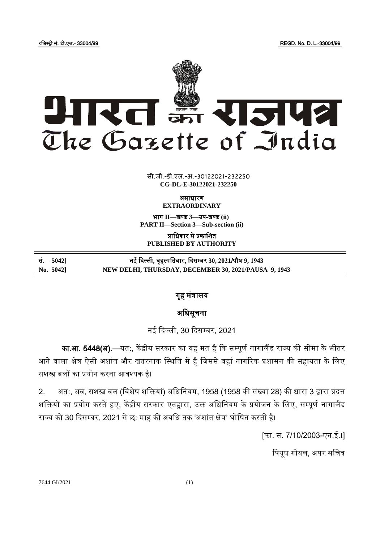रजजस्ट्री सं. डी.एल.- 33004/99 REGD. No. D. L.-33004/99



 $\overline{\phantom{a}}$   $\overline{\phantom{a}}$   $\overline{\phantom{a}}$   $\overline{\phantom{a}}$   $\overline{\phantom{a}}$   $\overline{\phantom{a}}$   $\overline{\phantom{a}}$   $\overline{\phantom{a}}$   $\overline{\phantom{a}}$   $\overline{\phantom{a}}$   $\overline{\phantom{a}}$   $\overline{\phantom{a}}$   $\overline{\phantom{a}}$   $\overline{\phantom{a}}$   $\overline{\phantom{a}}$   $\overline{\phantom{a}}$   $\overline{\phantom{a}}$   $\overline{\phantom{a}}$   $\overline{\$ सी.जी.-डी.एल.-अ.-30122021-232250 **CG-DL-E-30122021-232250**

ऄसाधारण

**EXTRAORDINARY** भाग **II**—खण् ड **3**—उप-खण् ड **(ii)**

**PART II—Section 3—Sub-section (ii)**

प्राजधकार से प्रकाजित **PUBLISHED BY AUTHORITY**

| सं. 5042] | नई दिल्ली, बृहस्पतिवार, दिसम्बर 30, 2021/पौष 9, 1943 |
|-----------|------------------------------------------------------|
| No. 5042] | NEW DELHI, THURSDAY, DECEMBER 30, 2021/PAUSA 9, 1943 |

## गृह मंत्रालय

## अधिसूचना

नई दिल्ली, 30 दिसम्बर, 2021

का.<mark>आ. 5448(अ).</mark>—यत:, केंद्रीय सरकार का यह मत है कि सम्पूर्ण नागालैंड राज्य की सीमा के भीतर आने वाला क्षेत्र ऐसी अशांत और खतरनाक स्थिति में है जिससे वहां नागरिक प्रशासन की सहायता के लिए सिस्त्र बलों का प्रयोग करना अवश्यक है।

2. अतः, अब, सशस्त्र बल (विशेष शक्तियां) अधिनियम, 1958 (1958 की संख्या 28) की धारा 3 द्वारा प्रदत्त शक्तियों का प्रयोग करते हुए, केंद्रीय सरकार एतद्दारा, उक्त अधिनियम के प्रयोजन के लिए, सम्पूर्ण नागालैंड राज्य को 30 दिसम्बर, 2021 से छः माह की अवधि तक 'अशांत क्षेत्र' घोषित करती है।

[फा. सं. 7/10/2003-एन.ई.I]

पियूष गोयल, अपर सचिव